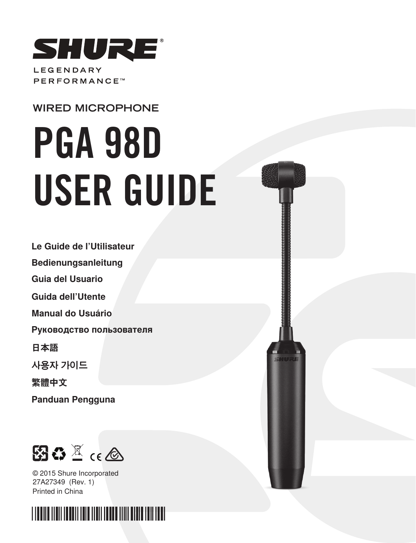

## **WIRED MICROPHONE**

# PGA 98D USER GUIDE

**Le Guide de l'Utilisateur**

**Bedienungsanleitung**

**Guia del Usuario**

**Guida dell'Utente**

**Manual do Usuário**

**Руководство пользователя**

日本語

**사용자 가이드**

**繁體中文**

**Panduan Pengguna**



© 2015 Shure Incorporated 27A27349 (Rev. 1) Printed in China

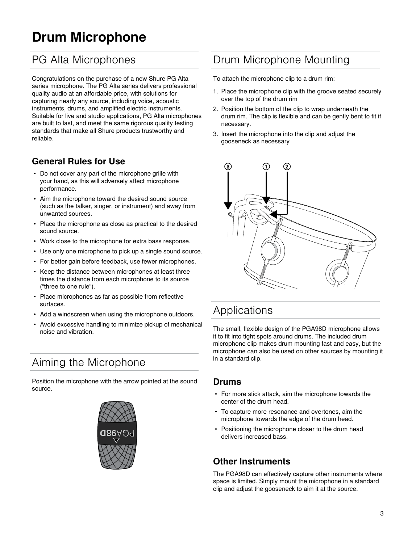# **Drum Microphone**

# PG Alta Microphones

Congratulations on the purchase of a new Shure PG Alta series microphone. The PG Alta series delivers professional quality audio at an affordable price, with solutions for capturing nearly any source, including voice, acoustic instruments, drums, and amplified electric instruments. Suitable for live and studio applications, PG Alta microphones are built to last, and meet the same rigorous quality testing standards that make all Shure products trustworthy and reliable.

## **General Rules for Use**

- Do not cover any part of the microphone grille with your hand, as this will adversely affect microphone performance.
- Aim the microphone toward the desired sound source (such as the talker, singer, or instrument) and away from unwanted sources.
- Place the microphone as close as practical to the desired sound source.
- Work close to the microphone for extra bass response.
- Use only one microphone to pick up a single sound source.
- For better gain before feedback, use fewer microphones.
- Keep the distance between microphones at least three times the distance from each microphone to its source ("three to one rule").
- Place microphones as far as possible from reflective surfaces.
- Add a windscreen when using the microphone outdoors.
- Avoid excessive handling to minimize pickup of mechanical noise and vibration.

# Aiming the Microphone

Position the microphone with the arrow pointed at the sound source.



# Drum Microphone Mounting

To attach the microphone clip to a drum rim:

- 1. Place the microphone clip with the groove seated securely over the top of the drum rim
- 2. Position the bottom of the clip to wrap underneath the drum rim. The clip is flexible and can be gently bent to fit if necessary.
- 3. Insert the microphone into the clip and adjust the gooseneck as necessary



# Applications

The small, flexible design of the PGA98D microphone allows it to fit into tight spots around drums. The included drum microphone clip makes drum mounting fast and easy, but the microphone can also be used on other sources by mounting it in a standard clip.

### **Drums**

- For more stick attack, aim the microphone towards the center of the drum head.
- To capture more resonance and overtones, aim the microphone towards the edge of the drum head.
- Positioning the microphone closer to the drum head delivers increased bass.

## **Other Instruments**

The PGA98D can effectively capture other instruments where space is limited. Simply mount the microphone in a standard clip and adjust the gooseneck to aim it at the source.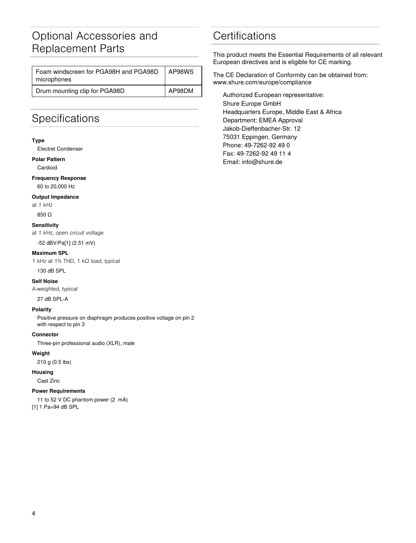# Optional Accessories and Replacement Parts

| Foam windscreen for PGA98H and PGA98D<br>microphones | AP98WS |
|------------------------------------------------------|--------|
| Drum mounting clip for PGA98D                        | AP98DM |

## Specifications

#### **Type**

Electret Condenser

#### **Polar Pattern**

Cardioid

#### **Frequency Response**

60 to 20,000 Hz

#### **Output Impedance**

at 1 kHz

## 850 Ω

**Sensitivity**

at 1 kHz, open circuit voltage

-52 dBV/Pa[1] (2.51 mV)

#### **Maximum SPL**

1 kHz at 1% THD, 1 kΩ load, typical

#### 130 dB SPL

#### **Self Noise**

A-weighted, typical

27 dB SPL-A

#### **Polarity**

Positive pressure on diaphragm produces positive voltage on pin 2 with respect to pin 3

#### **Connector**

Three-pin professional audio (XLR), male

#### **Weight**

210 g (0.5 lbs)

#### **Housing**

Cast Zinc

#### **Power Requirements**

11 to 52 V DC phantom power (2 mA) [1] 1 Pa=94 dB SPL

## **Certifications**

This product meets the Essential Requirements of all relevant European directives and is eligible for CE marking.

The CE Declaration of Conformity can be obtained from: www.shure.com/europe/compliance

Authorized European representative: Shure Europe GmbH Headquarters Europe, Middle East & Africa Department: EMEA Approval Jakob-Dieffenbacher-Str. 12 75031 Eppingen, Germany Phone: 49-7262-92 49 0 Fax: 49-7262-92 49 11 4 Email: info@shure.de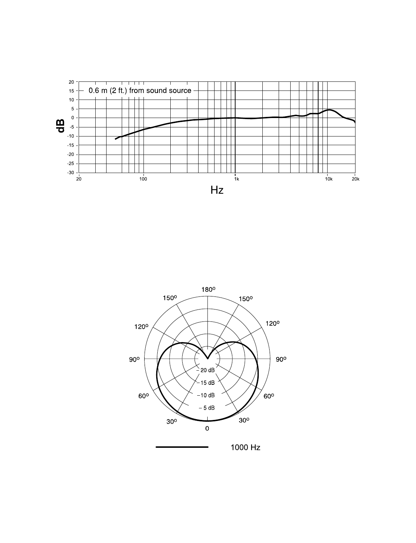